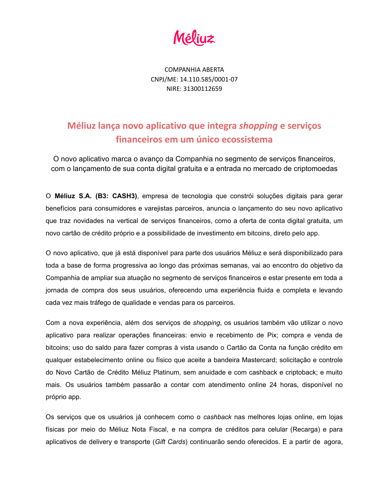COMPANHIA ABERTA CNPJ/ME: 14.110.585/0001-07 NIRE: 31300112659

#### **Méliuz lança novo aplicativo que integra** *shopping* **e serviços financeiros em um único ecossistema**

O novo aplicativo marca o avanço da Companhia no segmento de serviços financeiros, com o lançamento de sua conta digital gratuita e a entrada no mercado de criptomoedas

O **Méliuz S.A. (B3: CASH3)**, empresa de tecnologia que constrói soluções digitais para gerar benefícios para consumidores e varejistas parceiros, anuncia o lançamento do seu novo aplicativo que traz novidades na vertical de serviços financeiros, como a oferta de conta digital gratuita, um novo cartão de crédito próprio e a possibilidade de investimento em bitcoins, direto pelo app.

O novo aplicativo, que já está disponível para parte dos usuários Méliuz e será disponibilizado para toda a base de forma progressiva ao longo das próximas semanas, vai ao encontro do objetivo da Companhia de ampliar sua atuação no segmento de serviços financeiros e estar presente em toda a jornada de compra dos seus usuários, oferecendo uma experiência fluida e completa e levando cada vez mais tráfego de qualidade e vendas para os parceiros.

Com a nova experiência, além dos serviços de *shopping*, os usuários também vão utilizar o novo aplicativo para realizar operações financeiras: envio e recebimento de Pix; compra e venda de bitcoins; uso do saldo para fazer compras à vista usando o Cartão da Conta na função crédito em qualquer estabelecimento online ou físico que aceite a bandeira Mastercard; solicitação e controle do Novo Cartão de Crédito Méliuz Platinum, sem anuidade e com cashback e criptoback; e muito mais. Os usuários também passarão a contar com atendimento online 24 horas, disponível no próprio app.

Os serviços que os usuários já conhecem como o *cashback* nas melhores lojas online, em lojas físicas por meio do Méliuz Nota Fiscal, e na compra de créditos para celular (Recarga) e para aplicativos de delivery e transporte (*Gift Cards*) continuarão sendo oferecidos. E a partir de agora,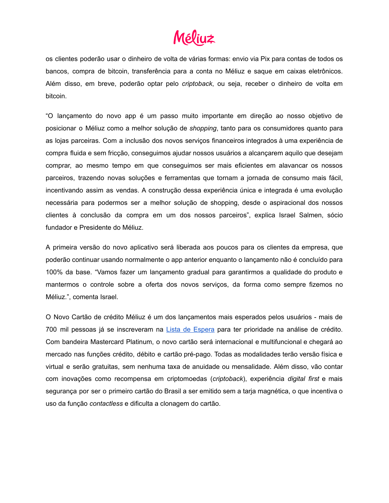## Méliu≠

os clientes poderão usar o dinheiro de volta de várias formas: envio via Pix para contas de todos os bancos, compra de bitcoin, transferência para a conta no Méliuz e saque em caixas eletrônicos. Além disso, em breve, poderão optar pelo *criptoback*, ou seja, receber o dinheiro de volta em bitcoin.

"O lançamento do novo app é um passo muito importante em direção ao nosso objetivo de posicionar o Méliuz como a melhor solução de *shopping*, tanto para os consumidores quanto para as lojas parceiras. Com a inclusão dos novos serviços financeiros integrados à uma experiência de compra fluida e sem fricção, conseguimos ajudar nossos usuários a alcançarem aquilo que desejam comprar, ao mesmo tempo em que conseguimos ser mais eficientes em alavancar os nossos parceiros, trazendo novas soluções e ferramentas que tornam a jornada de consumo mais fácil, incentivando assim as vendas. A construção dessa experiência única e integrada é uma evolução necessária para podermos ser a melhor solução de shopping, desde o aspiracional dos nossos clientes à conclusão da compra em um dos nossos parceiros", explica Israel Salmen, sócio fundador e Presidente do Méliuz.

A primeira versão do novo aplicativo será liberada aos poucos para os clientes da empresa, que poderão continuar usando normalmente o app anterior enquanto o lançamento não é concluído para 100% da base. "Vamos fazer um lançamento gradual para garantirmos a qualidade do produto e mantermos o controle sobre a oferta dos novos serviços, da forma como sempre fizemos no Méliuz.", comenta Israel.

O Novo Cartão de crédito Méliuz é um dos lançamentos mais esperados pelos usuários - mais de 700 mil pessoas já se inscreveram na Lista de [Espera](https://www.meliuz.com.br/lista-espera) para ter prioridade na análise de crédito. Com bandeira Mastercard Platinum, o novo cartão será internacional e multifuncional e chegará ao mercado nas funções crédito, débito e cartão pré-pago. Todas as modalidades terão versão física e virtual e serão gratuitas, sem nenhuma taxa de anuidade ou mensalidade. Além disso, vão contar com inovações como recompensa em criptomoedas (*criptoback*), experiência *digital first* e mais segurança por ser o primeiro cartão do Brasil a ser emitido sem a tarja magnética, o que incentiva o uso da função *contactless* e dificulta a clonagem do cartão.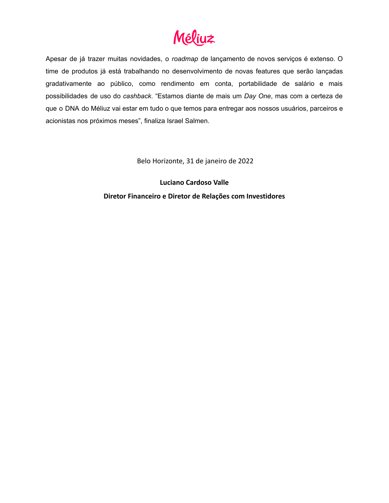# Méliuz

Apesar de já trazer muitas novidades, o *roadmap* de lançamento de novos serviços é extenso. O time de produtos já está trabalhando no desenvolvimento de novas features que serão lançadas gradativamente ao público, como rendimento em conta, portabilidade de salário e mais possibilidades de uso do *cashback*. "Estamos diante de mais um *Day One*, mas com a certeza de que o DNA do Méliuz vai estar em tudo o que temos para entregar aos nossos usuários, parceiros e acionistas nos próximos meses", finaliza Israel Salmen.

Belo Horizonte, 31 de janeiro de 2022

**Luciano Cardoso Valle Diretor Financeiro e Diretor de Relações com Investidores**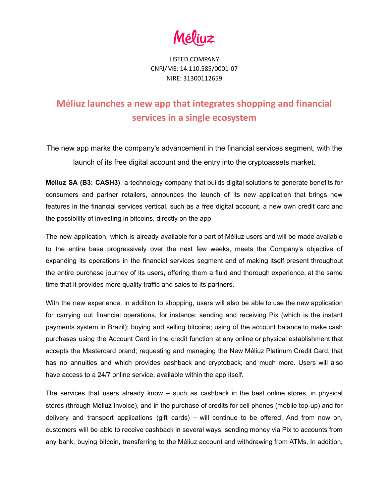LISTED COMPANY CNPJ/ME: 14.110.585/0001-07 NIRE: 31300112659

### **Méliuz launches a new app that integrates shopping and financial services in a single ecosystem**

The new app marks the company's advancement in the financial services segment, with the launch of its free digital account and the entry into the cryptoassets market.

**Méliuz SA (B3: CASH3)**, a technology company that builds digital solutions to generate benefits for consumers and partner retailers, announces the launch of its new application that brings new features in the financial services vertical, such as a free digital account, a new own credit card and the possibility of investing in bitcoins, directly on the app.

The new application, which is already available for a part of Méliuz users and will be made available to the entire base progressively over the next few weeks, meets the Company's objective of expanding its operations in the financial services segment and of making itself present throughout the entire purchase journey of its users, offering them a fluid and thorough experience, at the same time that it provides more quality traffic and sales to its partners.

With the new experience, in addition to shopping, users will also be able to use the new application for carrying out financial operations, for instance: sending and receiving Pix (which is the instant payments system in Brazil); buying and selling bitcoins; using of the account balance to make cash purchases using the Account Card in the credit function at any online or physical establishment that accepts the Mastercard brand; requesting and managing the New Méliuz Platinum Credit Card, that has no annuities and which provides cashback and cryptoback; and much more. Users will also have access to a 24/7 online service, available within the app itself.

The services that users already know  $-$  such as cashback in the best online stores, in physical stores (through Méliuz Invoice), and in the purchase of credits for cell phones (mobile top-up) and for delivery and transport applications (gift cards) – will continue to be offered. And from now on, customers will be able to receive cashback in several ways: sending money via Pix to accounts from any bank, buying bitcoin, transferring to the Méliuz account and withdrawing from ATMs. In addition,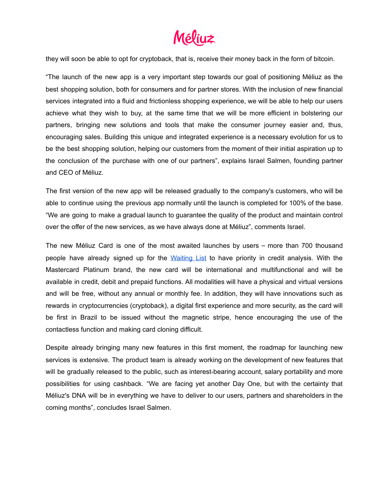# Méliuz

they will soon be able to opt for cryptoback, that is, receive their money back in the form of bitcoin.

"The launch of the new app is a very important step towards our goal of positioning Méliuz as the best shopping solution, both for consumers and for partner stores. With the inclusion of new financial services integrated into a fluid and frictionless shopping experience, we will be able to help our users achieve what they wish to buy, at the same time that we will be more efficient in bolstering our partners, bringing new solutions and tools that make the consumer journey easier and, thus, encouraging sales. Building this unique and integrated experience is a necessary evolution for us to be the best shopping solution, helping our customers from the moment of their initial aspiration up to the conclusion of the purchase with one of our partners", explains Israel Salmen, founding partner and CEO of Méliuz.

The first version of the new app will be released gradually to the company's customers, who will be able to continue using the previous app normally until the launch is completed for 100% of the base. "We are going to make a gradual launch to guarantee the quality of the product and maintain control over the offer of the new services, as we have always done at Méliuz", comments Israel.

The new Méliuz Card is one of the most awaited launches by users – more than 700 thousand people have already signed up for the [Waiting](https://www.meliuz.com.br/lista-espera) List to have priority in credit analysis. With the Mastercard Platinum brand, the new card will be international and multifunctional and will be available in credit, debit and prepaid functions. All modalities will have a physical and virtual versions and will be free, without any annual or monthly fee. In addition, they will have innovations such as rewards in cryptocurrencies (cryptoback), a digital first experience and more security, as the card will be first in Brazil to be issued without the magnetic stripe, hence encouraging the use of the contactless function and making card cloning difficult.

Despite already bringing many new features in this first moment, the roadmap for launching new services is extensive. The product team is already working on the development of new features that will be gradually released to the public, such as interest-bearing account, salary portability and more possibilities for using cashback. "We are facing yet another Day One, but with the certainty that Méliuz's DNA will be in everything we have to deliver to our users, partners and shareholders in the coming months", concludes Israel Salmen.